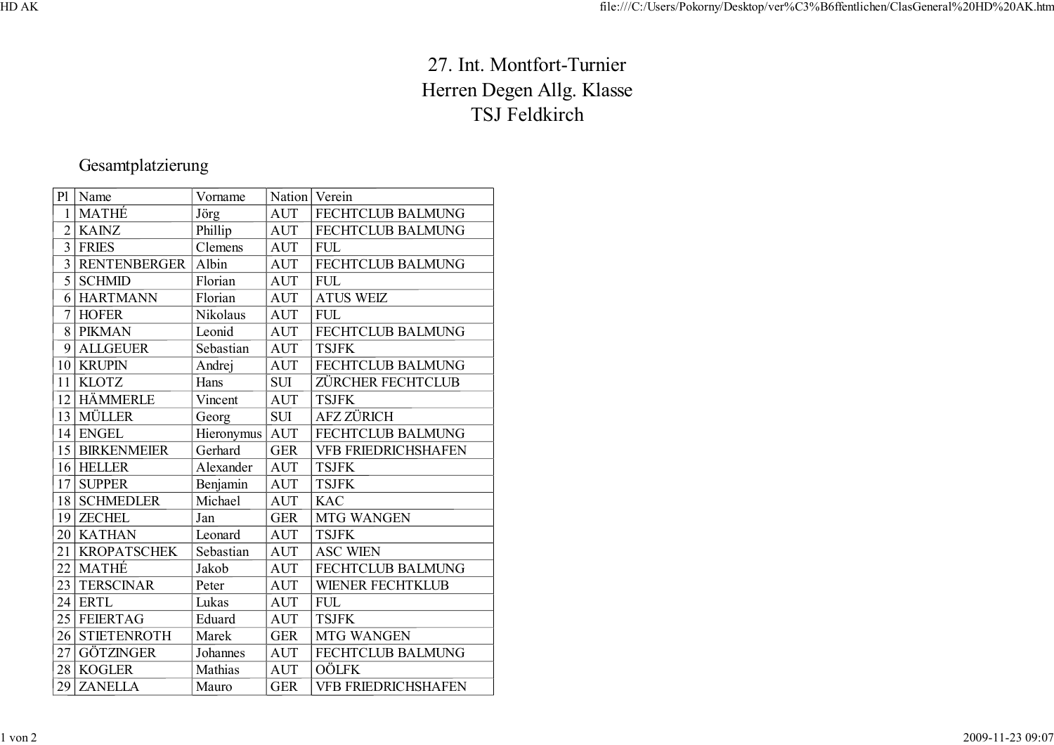## 27. Int. Montfort-Turnier Herren Degen Allg. KlasseTSJ Feldkirch

## Gesamtplatzierung

| P <sub>1</sub> | Name                | Vorname    | Nation     | Verein                     |
|----------------|---------------------|------------|------------|----------------------------|
| $\mathbf{1}$   | <b>MATHÉ</b>        | Jörg       | <b>AUT</b> | <b>FECHTCLUB BALMUNG</b>   |
| $\overline{2}$ | <b>KAINZ</b>        | Phillip    | <b>AUT</b> | FECHTCLUB BALMUNG          |
| $\overline{3}$ | <b>FRIES</b>        | Clemens    | <b>AUT</b> | <b>FUL</b>                 |
| $\overline{3}$ | <b>RENTENBERGER</b> | Albin      | <b>AUT</b> | FECHTCLUB BALMUNG          |
| 5              | <b>SCHMID</b>       | Florian    | <b>AUT</b> | <b>FUL</b>                 |
| 6              | <b>HARTMANN</b>     | Florian    | <b>AUT</b> | <b>ATUS WEIZ</b>           |
| $\overline{7}$ | <b>HOFER</b>        | Nikolaus   | <b>AUT</b> | <b>FUL</b>                 |
| 8              | <b>PIKMAN</b>       | Leonid     | <b>AUT</b> | FECHTCLUB BALMUNG          |
| 9              | <b>ALLGEUER</b>     | Sebastian  | <b>AUT</b> | <b>TSJFK</b>               |
| 10             | <b>KRUPIN</b>       | Andrej     | <b>AUT</b> | FECHTCLUB BALMUNG          |
| 11             | <b>KLOTZ</b>        | Hans       | <b>SUI</b> | ZÜRCHER FECHTCLUB          |
| 12             | <b>HÄMMERLE</b>     | Vincent    | <b>AUT</b> | <b>TSJFK</b>               |
| 13             | <b>MÜLLER</b>       | Georg      | <b>SUI</b> | <b>AFZ ZÜRICH</b>          |
| 14             | <b>ENGEL</b>        | Hieronymus | <b>AUT</b> | <b>FECHTCLUB BALMUNG</b>   |
| 15             | <b>BIRKENMEIER</b>  | Gerhard    | <b>GER</b> | <b>VFB FRIEDRICHSHAFEN</b> |
|                | 16 HELLER           | Alexander  | <b>AUT</b> | <b>TSJFK</b>               |
| 17             | <b>SUPPER</b>       | Benjamin   | <b>AUT</b> | <b>TSJFK</b>               |
| 18             | <b>SCHMEDLER</b>    | Michael    | <b>AUT</b> | <b>KAC</b>                 |
| 19             | <b>ZECHEL</b>       | Jan        | <b>GER</b> | <b>MTG WANGEN</b>          |
|                | 20   KATHAN         | Leonard    | <b>AUT</b> | <b>TSJFK</b>               |
| 21             | <b>KROPATSCHEK</b>  | Sebastian  | <b>AUT</b> | <b>ASC WIEN</b>            |
| 22             | <b>MATHÉ</b>        | Jakob      | <b>AUT</b> | FECHTCLUB BALMUNG          |
| 23             | <b>TERSCINAR</b>    | Peter      | <b>AUT</b> | <b>WIENER FECHTKLUB</b>    |
| 24             | <b>ERTL</b>         | Lukas      | <b>AUT</b> | <b>FUL</b>                 |
| 25             | <b>FEIERTAG</b>     | Eduard     | <b>AUT</b> | <b>TSJFK</b>               |
| 26             | <b>STIETENROTH</b>  | Marek      | <b>GER</b> | <b>MTG WANGEN</b>          |
| 27             | <b>GÖTZINGER</b>    | Johannes   | <b>AUT</b> | <b>FECHTCLUB BALMUNG</b>   |
| 28             | <b>KOGLER</b>       | Mathias    | <b>AUT</b> | <b>OÖLFK</b>               |
| 29             | <b>ZANELLA</b>      | Mauro      | <b>GER</b> | <b>VFB FRIEDRICHSHAFEN</b> |
|                |                     |            |            |                            |